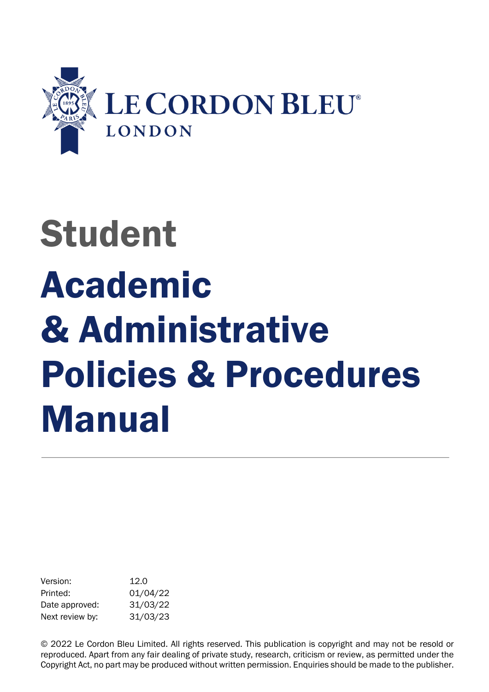

# Student Academic & Administrative Policies & Procedures Manual

Version: 12.0 Printed: 01/04/22 Date approved: 31/03/22 Next review by: 31/03/23

© 2022 Le Cordon Bleu Limited. All rights reserved. This publication is copyright and may not be resold or reproduced. Apart from any fair dealing of private study, research, criticism or review, as permitted under the Copyright Act, no part may be produced without written permission. Enquiries should be made to the publisher.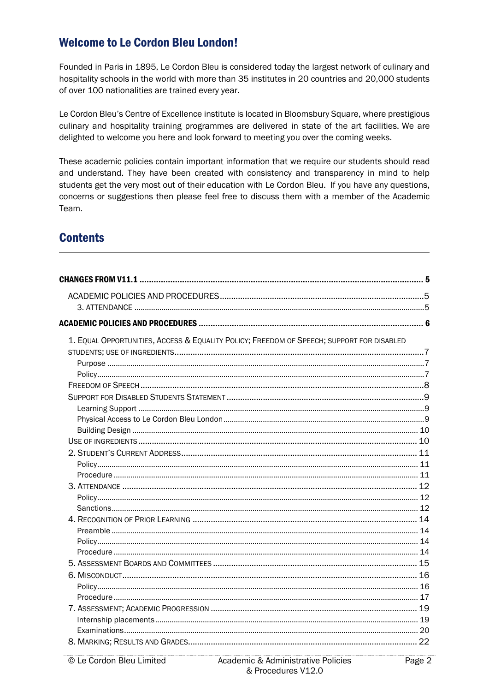## **Welcome to Le Cordon Bleu London!**

Founded in Paris in 1895, Le Cordon Bleu is considered today the largest network of culinary and hospitality schools in the world with more than 35 institutes in 20 countries and 20,000 students of over 100 nationalities are trained every year.

Le Cordon Bleu's Centre of Excellence institute is located in Bloomsbury Square, where prestigious culinary and hospitality training programmes are delivered in state of the art facilities. We are delighted to welcome you here and look forward to meeting you over the coming weeks.

These academic policies contain important information that we require our students should read and understand. They have been created with consistency and transparency in mind to help students get the very most out of their education with Le Cordon Bleu. If you have any questions, concerns or suggestions then please feel free to discuss them with a member of the Academic Team.

## **Contents**

| 1. EQUAL OPPORTUNITIES, ACCESS & EQUALITY POLICY; FREEDOM OF SPEECH; SUPPORT FOR DISABLED |  |
|-------------------------------------------------------------------------------------------|--|
|                                                                                           |  |
|                                                                                           |  |
|                                                                                           |  |
|                                                                                           |  |
|                                                                                           |  |
|                                                                                           |  |
|                                                                                           |  |
|                                                                                           |  |
|                                                                                           |  |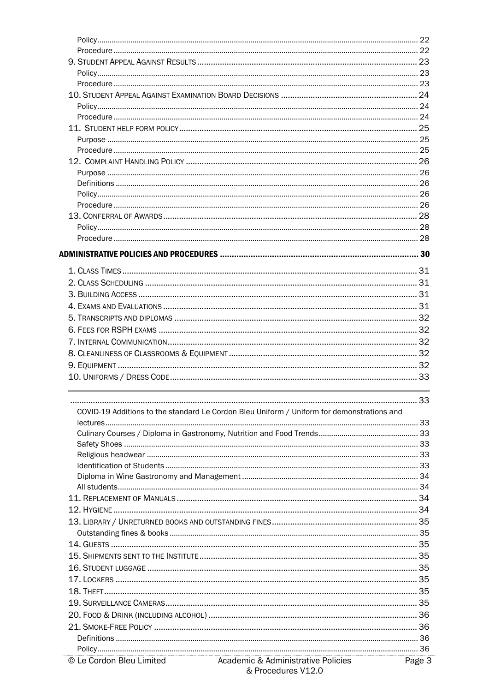| COVID-19 Additions to the standard Le Cordon Bleu Uniform / Uniform for demonstrations and |        |
|--------------------------------------------------------------------------------------------|--------|
|                                                                                            |        |
|                                                                                            |        |
|                                                                                            |        |
|                                                                                            |        |
|                                                                                            |        |
|                                                                                            |        |
|                                                                                            |        |
|                                                                                            |        |
|                                                                                            |        |
|                                                                                            |        |
|                                                                                            |        |
|                                                                                            |        |
|                                                                                            |        |
|                                                                                            |        |
|                                                                                            |        |
|                                                                                            |        |
|                                                                                            |        |
|                                                                                            |        |
|                                                                                            |        |
|                                                                                            |        |
|                                                                                            |        |
|                                                                                            |        |
| © Le Cordon Bleu Limited<br>Academic & Administrative Policies<br>& Procedures V12.0       | Page 3 |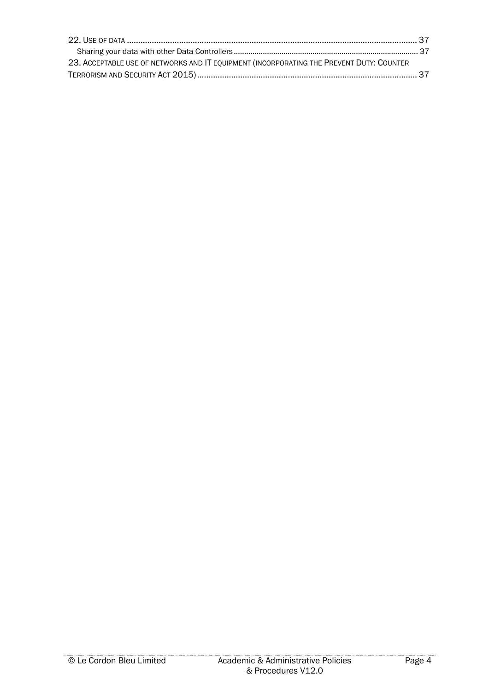| 23. ACCEPTABLE USE OF NETWORKS AND IT EQUIPMENT (INCORPORATING THE PREVENT DUTY: COUNTER |  |
|------------------------------------------------------------------------------------------|--|
|                                                                                          |  |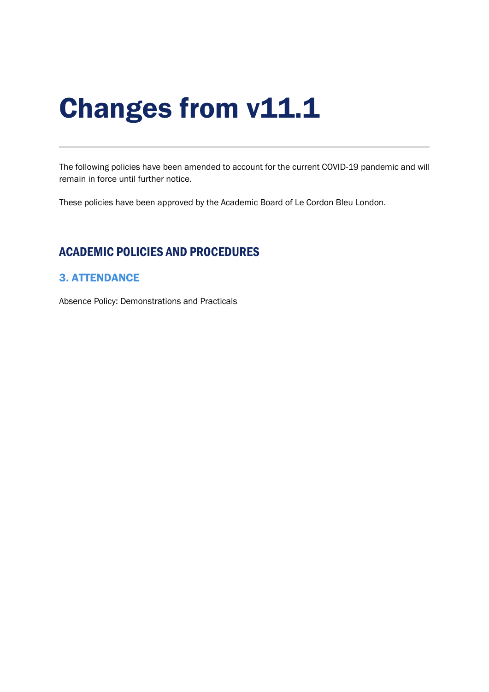## <span id="page-4-0"></span>**Changes from v11.1**

The following policies have been amended to account for the current COVID-19 pandemic and will remain in force until further notice.

These policies have been approved by the Academic Board of Le Cordon Bleu London.

## <span id="page-4-1"></span>ACADEMIC POLICIES AND PROCEDURES

#### <span id="page-4-2"></span>3. ATTENDANCE

Absence Policy: Demonstrations and Practicals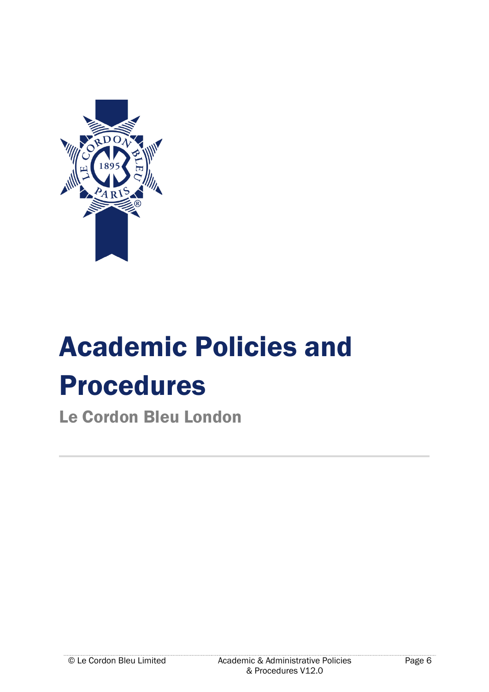

## <span id="page-5-0"></span>Academic Policies and Procedures

Le Cordon Bleu London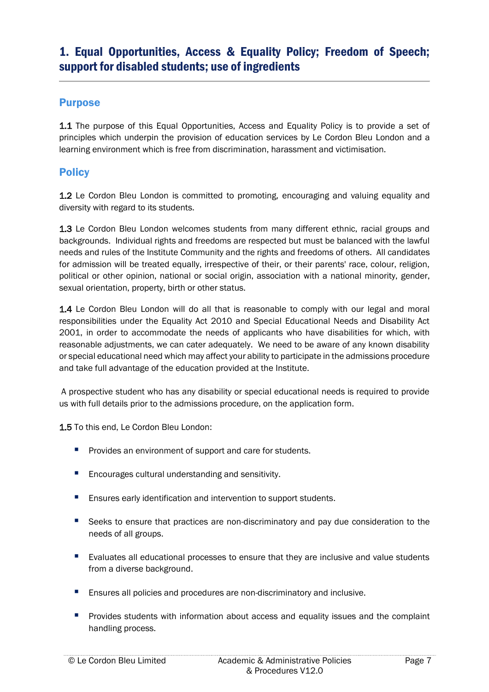## <span id="page-6-0"></span>1. Equal Opportunities, Access & Equality Policy; Freedom of Speech; support for disabled students; use of ingredients

#### <span id="page-6-1"></span>Purpose

**1.1** The purpose of this Equal Opportunities, Access and Equality Policy is to provide a set of principles which underpin the provision of education services by Le Cordon Bleu London and a learning environment which is free from discrimination, harassment and victimisation.

#### <span id="page-6-2"></span>**Policy**

1.2 Le Cordon Bleu London is committed to promoting, encouraging and valuing equality and diversity with regard to its students.

1.3 Le Cordon Bleu London welcomes students from many different ethnic, racial groups and backgrounds. Individual rights and freedoms are respected but must be balanced with the lawful needs and rules of the Institute Community and the rights and freedoms of others. All candidates for admission will be treated equally, irrespective of their, or their parents' race, colour, religion, political or other opinion, national or social origin, association with a national minority, gender, sexual orientation, property, birth or other status.

1.4 Le Cordon Bleu London will do all that is reasonable to comply with our legal and moral responsibilities under the Equality Act 2010 and Special Educational Needs and Disability Act 2001, in order to accommodate the needs of applicants who have disabilities for which, with reasonable adjustments, we can cater adequately. We need to be aware of any known disability or special educational need which may affect your ability to participate in the admissions procedure and take full advantage of the education provided at the Institute.

A prospective student who has any disability or special educational needs is required to provide us with full details prior to the admissions procedure, on the application form.

1.5 To this end, Le Cordon Bleu London:

- Provides an environment of support and care for students.
- Encourages cultural understanding and sensitivity.
- Ensures early identification and intervention to support students.
- Seeks to ensure that practices are non-discriminatory and pay due consideration to the needs of all groups.
- Evaluates all educational processes to ensure that they are inclusive and value students from a diverse background.
- Ensures all policies and procedures are non-discriminatory and inclusive.
- Provides students with information about access and equality issues and the complaint handling process.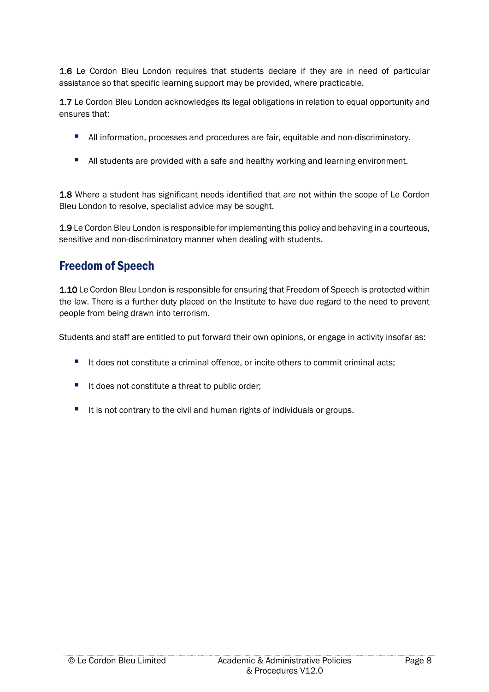1.6 Le Cordon Bleu London requires that students declare if they are in need of particular assistance so that specific learning support may be provided, where practicable.

1.7 Le Cordon Bleu London acknowledges its legal obligations in relation to equal opportunity and ensures that:

- All information, processes and procedures are fair, equitable and non-discriminatory.
- All students are provided with a safe and healthy working and learning environment.

1.8 Where a student has significant needs identified that are not within the scope of Le Cordon Bleu London to resolve, specialist advice may be sought.

1.9 Le Cordon Bleu London is responsible for implementing this policy and behaving in a courteous, sensitive and non-discriminatory manner when dealing with students.

## <span id="page-7-0"></span>Freedom of Speech

1.10 Le Cordon Bleu London is responsible for ensuring that Freedom of Speech is protected within the law. There is a further duty placed on the Institute to have due regard to the need to prevent people from being drawn into terrorism.

Students and staff are entitled to put forward their own opinions, or engage in activity insofar as:

- It does not constitute a criminal offence, or incite others to commit criminal acts:
- It does not constitute a threat to public order;
- It is not contrary to the civil and human rights of individuals or groups.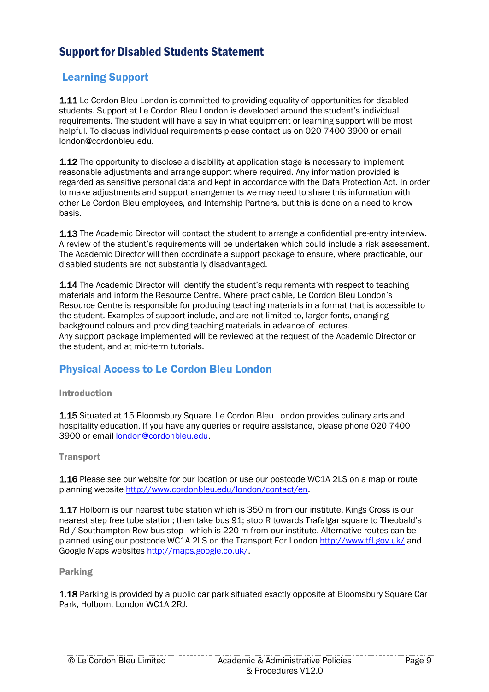## <span id="page-8-0"></span>Support for Disabled Students Statement

## <span id="page-8-1"></span>Learning Support

**1.11** Le Cordon Bleu London is committed to providing equality of opportunities for disabled students. Support at Le Cordon Bleu London is developed around the student's individual requirements. The student will have a say in what equipment or learning support will be most helpful. To discuss individual requirements please contact us on 020 7400 3900 or email london@cordonbleu.edu.

**1.12** The opportunity to disclose a disability at application stage is necessary to implement reasonable adjustments and arrange support where required. Any information provided is regarded as sensitive personal data and kept in accordance with the Data Protection Act. In order to make adjustments and support arrangements we may need to share this information with other Le Cordon Bleu employees, and Internship Partners, but this is done on a need to know basis.

1.13 The Academic Director will contact the student to arrange a confidential pre-entry interview. A review of the student's requirements will be undertaken which could include a risk assessment. The Academic Director will then coordinate a support package to ensure, where practicable, our disabled students are not substantially disadvantaged.

1.14 The Academic Director will identify the student's requirements with respect to teaching materials and inform the Resource Centre. Where practicable, Le Cordon Bleu London's Resource Centre is responsible for producing teaching materials in a format that is accessible to the student. Examples of support include, and are not limited to, larger fonts, changing background colours and providing teaching materials in advance of lectures. Any support package implemented will be reviewed at the request of the Academic Director or the student, and at mid-term tutorials.

## <span id="page-8-2"></span>Physical Access to Le Cordon Bleu London

#### Introduction

1.15 Situated at 15 Bloomsbury Square, Le Cordon Bleu London provides culinary arts and hospitality education. If you have any queries or require assistance, please phone 020 7400 3900 or email [london@cordonbleu.edu.](mailto:london@cordonbleu.edu)

#### **Transport**

1.16 Please see our website for our location or use our postcode WC1A 2LS on a map or route planning website [http://www.cordonbleu.edu/london/contact/en.](http://www.cordonbleu.edu/london/contact/en)

1.17 Holborn is our nearest tube station which is 350 m from our institute. Kings Cross is our nearest step free tube station; then take bus 91; stop R towards Trafalgar square to Theobald's Rd / Southampton Row bus stop - which is 220 m from our institute. Alternative routes can be planned using our postcode WC1A 2LS on the Transport For London<http://www.tfl.gov.uk/> and Google Maps websites [http://maps.google.co.uk/.](http://maps.google.co.uk/)

#### Parking

1.18 Parking is provided by a public car park situated exactly opposite at Bloomsbury Square Car Park, Holborn, London WC1A 2RJ.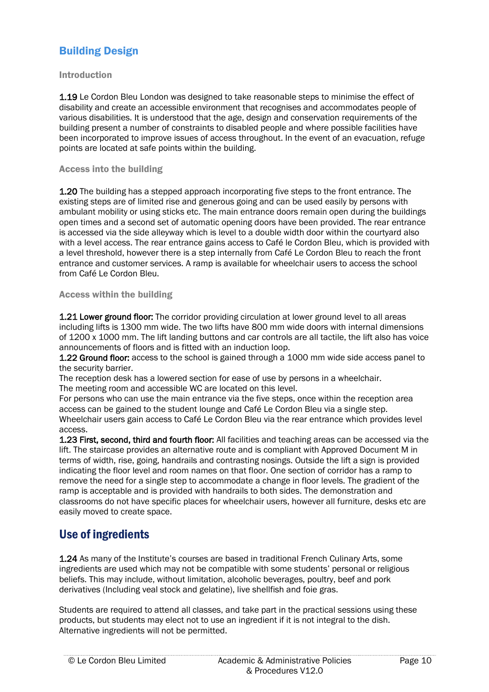## <span id="page-9-0"></span>Building Design

#### Introduction

1.19 Le Cordon Bleu London was designed to take reasonable steps to minimise the effect of disability and create an accessible environment that recognises and accommodates people of various disabilities. It is understood that the age, design and conservation requirements of the building present a number of constraints to disabled people and where possible facilities have been incorporated to improve issues of access throughout. In the event of an evacuation, refuge points are located at safe points within the building.

#### Access into the building

**1.20** The building has a stepped approach incorporating five steps to the front entrance. The existing steps are of limited rise and generous going and can be used easily by persons with ambulant mobility or using sticks etc. The main entrance doors remain open during the buildings open times and a second set of automatic opening doors have been provided. The rear entrance is accessed via the side alleyway which is level to a double width door within the courtyard also with a level access. The rear entrance gains access to Café le Cordon Bleu, which is provided with a level threshold, however there is a step internally from Café Le Cordon Bleu to reach the front entrance and customer services. A ramp is available for wheelchair users to access the school from Café Le Cordon Bleu.

#### Access within the building

1.21 Lower ground floor: The corridor providing circulation at lower ground level to all areas including lifts is 1300 mm wide. The two lifts have 800 mm wide doors with internal dimensions of 1200 x 1000 mm. The lift landing buttons and car controls are all tactile, the lift also has voice announcements of floors and is fitted with an induction loop.

1.22 Ground floor: access to the school is gained through a 1000 mm wide side access panel to the security barrier.

The reception desk has a lowered section for ease of use by persons in a wheelchair. The meeting room and accessible WC are located on this level.

For persons who can use the main entrance via the five steps, once within the reception area access can be gained to the student lounge and Café Le Cordon Bleu via a single step. Wheelchair users gain access to Café Le Cordon Bleu via the rear entrance which provides level access.

1.23 First, second, third and fourth floor: All facilities and teaching areas can be accessed via the lift. The staircase provides an alternative route and is compliant with Approved Document M in terms of width, rise, going, handrails and contrasting nosings. Outside the lift a sign is provided indicating the floor level and room names on that floor. One section of corridor has a ramp to remove the need for a single step to accommodate a change in floor levels. The gradient of the ramp is acceptable and is provided with handrails to both sides. The demonstration and classrooms do not have specific places for wheelchair users, however all furniture, desks etc are easily moved to create space.

## <span id="page-9-1"></span>Use of ingredients

1.24 As many of the Institute's courses are based in traditional French Culinary Arts, some ingredients are used which may not be compatible with some students' personal or religious beliefs. This may include, without limitation, alcoholic beverages, poultry, beef and pork derivatives (Including veal stock and gelatine), live shellfish and foie gras.

Students are required to attend all classes, and take part in the practical sessions using these products, but students may elect not to use an ingredient if it is not integral to the dish. Alternative ingredients will not be permitted.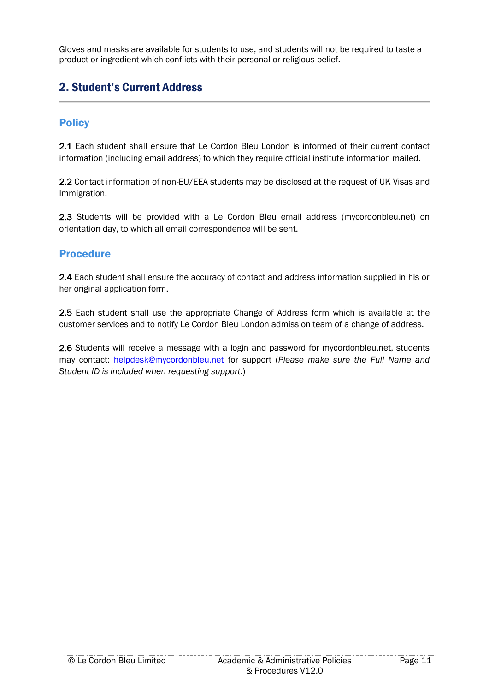Gloves and masks are available for students to use, and students will not be required to taste a product or ingredient which conflicts with their personal or religious belief.

## <span id="page-10-0"></span>2. Student's Current Address

#### <span id="page-10-1"></span>**Policy**

2.1 Each student shall ensure that Le Cordon Bleu London is informed of their current contact information (including email address) to which they require official institute information mailed.

2.2 Contact information of non-EU/EEA students may be disclosed at the request of UK Visas and Immigration.

2.3 Students will be provided with a Le Cordon Bleu email address (mycordonbleu.net) on orientation day, to which all email correspondence will be sent.

#### <span id="page-10-2"></span>Procedure

2.4 Each student shall ensure the accuracy of contact and address information supplied in his or her original application form.

2.5 Each student shall use the appropriate Change of Address form which is available at the customer services and to notify Le Cordon Bleu London admission team of a change of address.

2.6 Students will receive a message with a login and password for mycordonbleu.net, students may contact: [helpdesk@mycordonbleu.net](mailto:helpdesk@mycordonbleu.net) for support (*Please make sure the Full Name and Student ID is included when requesting support.*)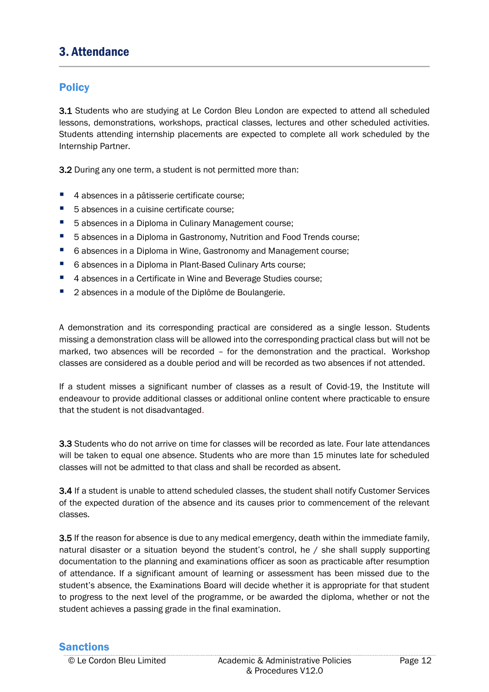## <span id="page-11-0"></span>3. Attendance

#### <span id="page-11-1"></span>**Policy**

3.1 Students who are studying at Le Cordon Bleu London are expected to attend all scheduled lessons, demonstrations, workshops, practical classes, lectures and other scheduled activities. Students attending internship placements are expected to complete all work scheduled by the Internship Partner.

3.2 During any one term, a student is not permitted more than:

- 4 absences in a pâtisserie certificate course;
- 5 absences in a cuisine certificate course;
- 5 absences in a Diploma in Culinary Management course;
- 5 absences in a Diploma in Gastronomy, Nutrition and Food Trends course;
- 6 absences in a Diploma in Wine, Gastronomy and Management course;
- 6 absences in a Diploma in Plant-Based Culinary Arts course;
- 4 absences in a Certificate in Wine and Beverage Studies course;
- 2 absences in a module of the Diplôme de Boulangerie.

A demonstration and its corresponding practical are considered as a single lesson. Students missing a demonstration class will be allowed into the corresponding practical class but will not be marked, two absences will be recorded – for the demonstration and the practical. Workshop classes are considered as a double period and will be recorded as two absences if not attended.

If a student misses a significant number of classes as a result of Covid-19, the Institute will endeavour to provide additional classes or additional online content where practicable to ensure that the student is not disadvantaged.

3.3 Students who do not arrive on time for classes will be recorded as late. Four late attendances will be taken to equal one absence. Students who are more than 15 minutes late for scheduled classes will not be admitted to that class and shall be recorded as absent.

3.4 If a student is unable to attend scheduled classes, the student shall notify Customer Services of the expected duration of the absence and its causes prior to commencement of the relevant classes.

3.5 If the reason for absence is due to any medical emergency, death within the immediate family, natural disaster or a situation beyond the student's control, he / she shall supply supporting documentation to the planning and examinations officer as soon as practicable after resumption of attendance. If a significant amount of learning or assessment has been missed due to the student's absence, the Examinations Board will decide whether it is appropriate for that student to progress to the next level of the programme, or be awarded the diploma, whether or not the student achieves a passing grade in the final examination.

#### <span id="page-11-2"></span>Sanctions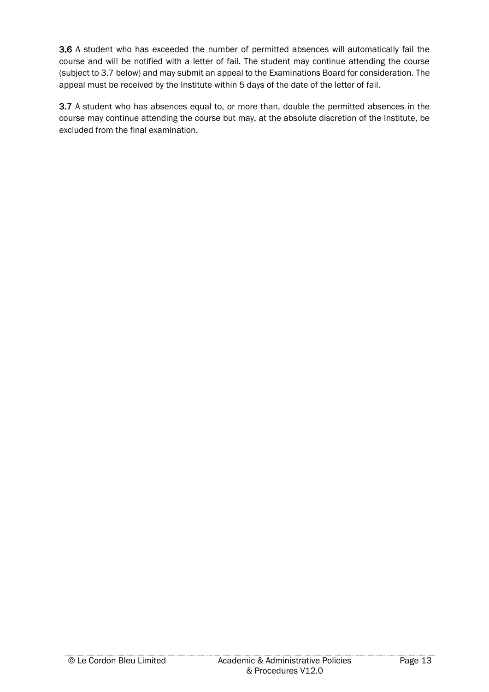3.6 A student who has exceeded the number of permitted absences will automatically fail the course and will be notified with a letter of fail. The student may continue attending the course (subject to 3.7 below) and may submit an appeal to the Examinations Board for consideration. The appeal must be received by the Institute within 5 days of the date of the letter of fail.

3.7 A student who has absences equal to, or more than, double the permitted absences in the course may continue attending the course but may, at the absolute discretion of the Institute, be excluded from the final examination.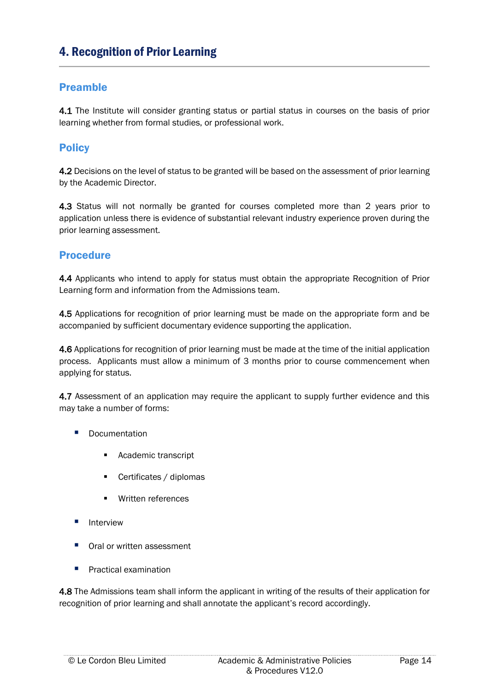## <span id="page-13-0"></span>4. Recognition of Prior Learning

#### <span id="page-13-1"></span>Preamble

4.1 The Institute will consider granting status or partial status in courses on the basis of prior learning whether from formal studies, or professional work.

#### <span id="page-13-2"></span>**Policy**

4.2 Decisions on the level of status to be granted will be based on the assessment of prior learning by the Academic Director.

4.3 Status will not normally be granted for courses completed more than 2 years prior to application unless there is evidence of substantial relevant industry experience proven during the prior learning assessment.

#### <span id="page-13-3"></span>Procedure

4.4 Applicants who intend to apply for status must obtain the appropriate Recognition of Prior Learning form and information from the Admissions team.

4.5 Applications for recognition of prior learning must be made on the appropriate form and be accompanied by sufficient documentary evidence supporting the application.

4.6 Applications for recognition of prior learning must be made at the time of the initial application process. Applicants must allow a minimum of 3 months prior to course commencement when applying for status.

4.7 Assessment of an application may require the applicant to supply further evidence and this may take a number of forms:

- Documentation
	- Academic transcript
	- Certificates / diplomas
	- Written references
- Interview
- Oral or written assessment
- **•** Practical examination

4.8 The Admissions team shall inform the applicant in writing of the results of their application for recognition of prior learning and shall annotate the applicant's record accordingly.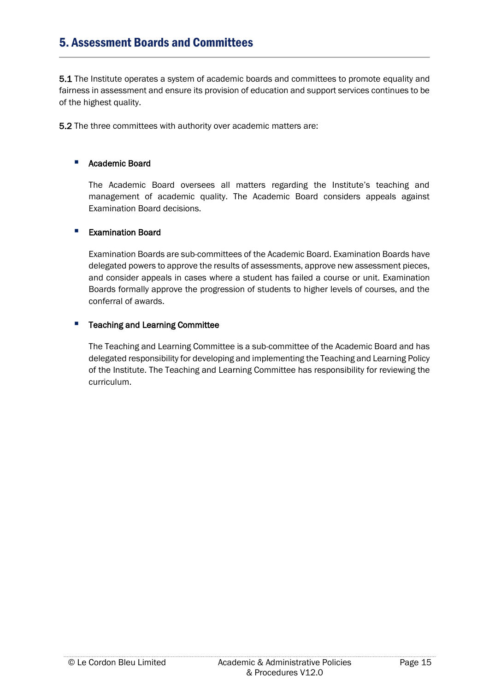## <span id="page-14-0"></span>5. Assessment Boards and Committees

5.1 The Institute operates a system of academic boards and committees to promote equality and fairness in assessment and ensure its provision of education and support services continues to be of the highest quality.

5.2 The three committees with authority over academic matters are:

#### ■ Academic Board

The Academic Board oversees all matters regarding the Institute's teaching and management of academic quality. The Academic Board considers appeals against Examination Board decisions.

#### ■ Examination Board

Examination Boards are sub-committees of the Academic Board. Examination Boards have delegated powers to approve the results of assessments, approve new assessment pieces, and consider appeals in cases where a student has failed a course or unit. Examination Boards formally approve the progression of students to higher levels of courses, and the conferral of awards.

#### ■ Teaching and Learning Committee

The Teaching and Learning Committee is a sub-committee of the Academic Board and has delegated responsibility for developing and implementing the Teaching and Learning Policy of the Institute. The Teaching and Learning Committee has responsibility for reviewing the curriculum.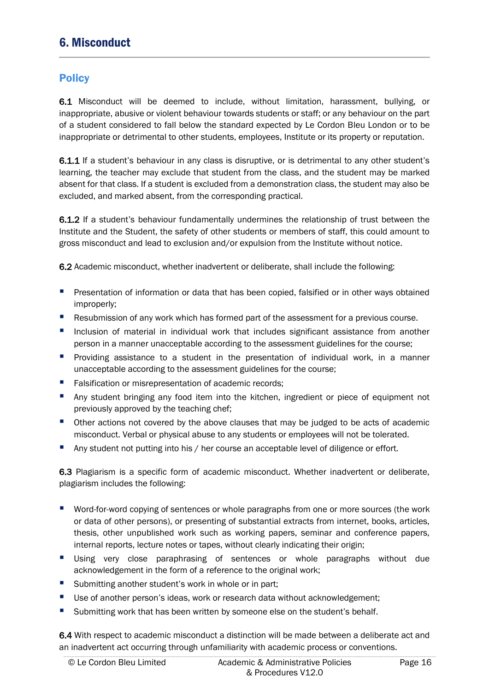## <span id="page-15-0"></span>6. Misconduct

#### <span id="page-15-1"></span>**Policy**

6.1 Misconduct will be deemed to include, without limitation, harassment, bullying, or inappropriate, abusive or violent behaviour towards students or staff; or any behaviour on the part of a student considered to fall below the standard expected by Le Cordon Bleu London or to be inappropriate or detrimental to other students, employees, Institute or its property or reputation.

6.1.1 If a student's behaviour in any class is disruptive, or is detrimental to any other student's learning, the teacher may exclude that student from the class, and the student may be marked absent for that class. If a student is excluded from a demonstration class, the student may also be excluded, and marked absent, from the corresponding practical.

6.1.2 If a student's behaviour fundamentally undermines the relationship of trust between the Institute and the Student, the safety of other students or members of staff, this could amount to gross misconduct and lead to exclusion and/or expulsion from the Institute without notice.

6.2 Academic misconduct, whether inadvertent or deliberate, shall include the following:

- Presentation of information or data that has been copied, falsified or in other ways obtained improperly;
- Resubmission of any work which has formed part of the assessment for a previous course.
- Inclusion of material in individual work that includes significant assistance from another person in a manner unacceptable according to the assessment guidelines for the course;
- Providing assistance to a student in the presentation of individual work, in a manner unacceptable according to the assessment guidelines for the course;
- Falsification or misrepresentation of academic records;
- Any student bringing any food item into the kitchen, ingredient or piece of equipment not previously approved by the teaching chef;
- Other actions not covered by the above clauses that may be judged to be acts of academic misconduct. Verbal or physical abuse to any students or employees will not be tolerated.
- Any student not putting into his / her course an acceptable level of diligence or effort.

6.3 Plagiarism is a specific form of academic misconduct. Whether inadvertent or deliberate, plagiarism includes the following:

- Word-for-word copying of sentences or whole paragraphs from one or more sources (the work or data of other persons), or presenting of substantial extracts from internet, books, articles, thesis, other unpublished work such as working papers, seminar and conference papers, internal reports, lecture notes or tapes, without clearly indicating their origin;
- Using very close paraphrasing of sentences or whole paragraphs without due acknowledgement in the form of a reference to the original work;
- Submitting another student's work in whole or in part;
- Use of another person's ideas, work or research data without acknowledgement;
- Submitting work that has been written by someone else on the student's behalf.

6.4 With respect to academic misconduct a distinction will be made between a deliberate act and an inadvertent act occurring through unfamiliarity with academic process or conventions.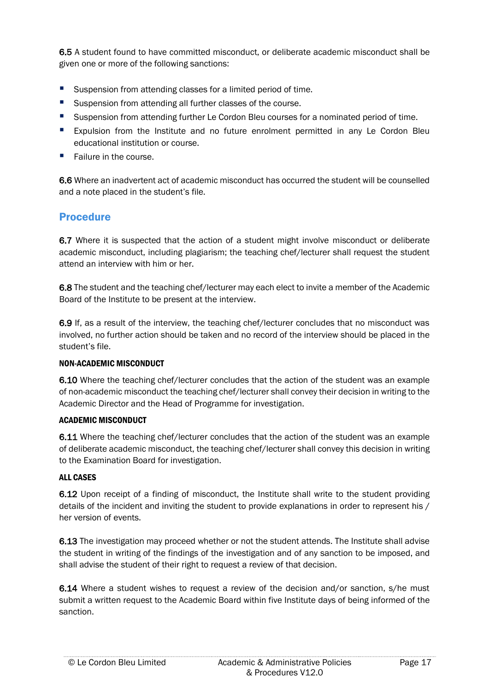6.5 A student found to have committed misconduct, or deliberate academic misconduct shall be given one or more of the following sanctions:

- Suspension from attending classes for a limited period of time.
- Suspension from attending all further classes of the course.
- Suspension from attending further Le Cordon Bleu courses for a nominated period of time.
- **Expulsion from the Institute and no future enrolment permitted in any Le Cordon Bleu** educational institution or course.
- Failure in the course.

6.6 Where an inadvertent act of academic misconduct has occurred the student will be counselled and a note placed in the student's file.

#### <span id="page-16-0"></span>Procedure

6.7 Where it is suspected that the action of a student might involve misconduct or deliberate academic misconduct, including plagiarism; the teaching chef/lecturer shall request the student attend an interview with him or her.

6.8 The student and the teaching chef/lecturer may each elect to invite a member of the Academic Board of the Institute to be present at the interview.

6.9 If, as a result of the interview, the teaching chef/lecturer concludes that no misconduct was involved, no further action should be taken and no record of the interview should be placed in the student's file.

#### NON-ACADEMIC MISCONDUCT

6.10 Where the teaching chef/lecturer concludes that the action of the student was an example of non-academic misconduct the teaching chef/lecturer shall convey their decision in writing to the Academic Director and the Head of Programme for investigation.

#### ACADEMIC MISCONDUCT

6.11 Where the teaching chef/lecturer concludes that the action of the student was an example of deliberate academic misconduct, the teaching chef/lecturer shall convey this decision in writing to the Examination Board for investigation.

#### ALL CASES

6.12 Upon receipt of a finding of misconduct, the Institute shall write to the student providing details of the incident and inviting the student to provide explanations in order to represent his / her version of events.

6.13 The investigation may proceed whether or not the student attends. The Institute shall advise the student in writing of the findings of the investigation and of any sanction to be imposed, and shall advise the student of their right to request a review of that decision.

6.14 Where a student wishes to request a review of the decision and/or sanction, s/he must submit a written request to the Academic Board within five Institute days of being informed of the sanction.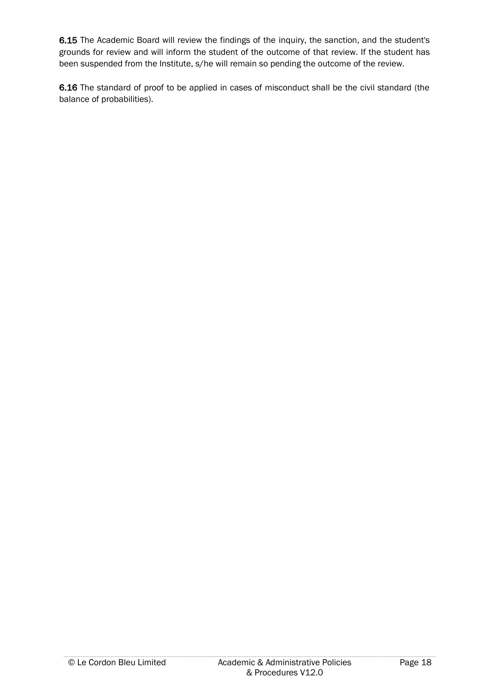6.15 The Academic Board will review the findings of the inquiry, the sanction, and the student's grounds for review and will inform the student of the outcome of that review. If the student has been suspended from the Institute, s/he will remain so pending the outcome of the review.

6.16 The standard of proof to be applied in cases of misconduct shall be the civil standard (the balance of probabilities).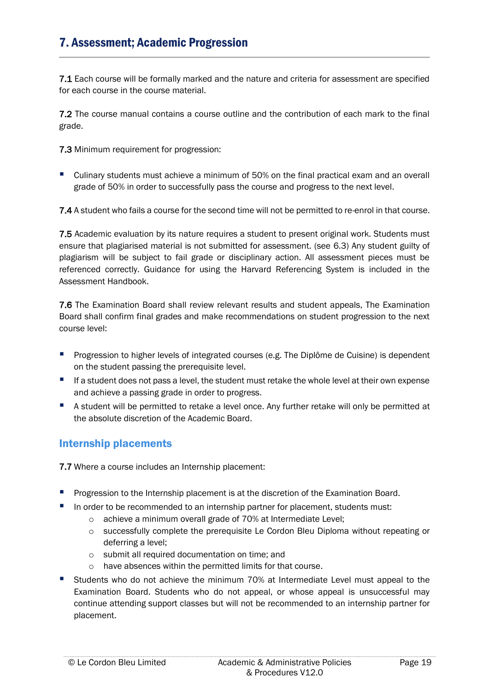## <span id="page-18-0"></span>7. Assessment; Academic Progression

7.1 Each course will be formally marked and the nature and criteria for assessment are specified for each course in the course material.

7.2 The course manual contains a course outline and the contribution of each mark to the final grade.

7.3 Minimum requirement for progression:

■ Culinary students must achieve a minimum of 50% on the final practical exam and an overall grade of 50% in order to successfully pass the course and progress to the next level.

7.4 A student who fails a course for the second time will not be permitted to re-enrol in that course.

7.5 Academic evaluation by its nature requires a student to present original work. Students must ensure that plagiarised material is not submitted for assessment. (see 6.3) Any student guilty of plagiarism will be subject to fail grade or disciplinary action. All assessment pieces must be referenced correctly. Guidance for using the Harvard Referencing System is included in the Assessment Handbook.

7.6 The Examination Board shall review relevant results and student appeals, The Examination Board shall confirm final grades and make recommendations on student progression to the next course level:

- Progression to higher levels of integrated courses (e.g. The Diplôme de Cuisine) is dependent on the student passing the prerequisite level.
- If a student does not pass a level, the student must retake the whole level at their own expense and achieve a passing grade in order to progress.
- A student will be permitted to retake a level once. Any further retake will only be permitted at the absolute discretion of the Academic Board.

#### <span id="page-18-1"></span>Internship placements

7.7 Where a course includes an Internship placement:

- Progression to the Internship placement is at the discretion of the Examination Board.
- In order to be recommended to an internship partner for placement, students must:
	- o achieve a minimum overall grade of 70% at Intermediate Level;
	- o successfully complete the prerequisite Le Cordon Bleu Diploma without repeating or deferring a level;
	- o submit all required documentation on time; and
	- o have absences within the permitted limits for that course.
- Students who do not achieve the minimum 70% at Intermediate Level must appeal to the Examination Board. Students who do not appeal, or whose appeal is unsuccessful may continue attending support classes but will not be recommended to an internship partner for placement.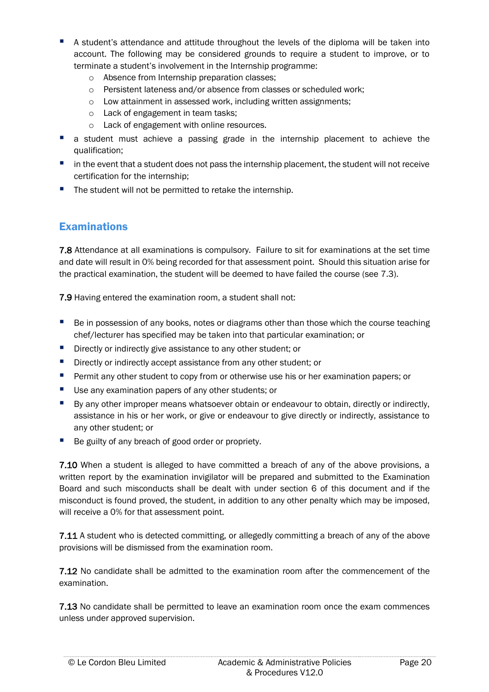- A student's attendance and attitude throughout the levels of the diploma will be taken into account. The following may be considered grounds to require a student to improve, or to terminate a student's involvement in the Internship programme:
	- o Absence from Internship preparation classes;
	- o Persistent lateness and/or absence from classes or scheduled work;
	- o Low attainment in assessed work, including written assignments;
	- o Lack of engagement in team tasks;
	- o Lack of engagement with online resources.
- a student must achieve a passing grade in the internship placement to achieve the qualification;
- in the event that a student does not pass the internship placement, the student will not receive certification for the internship;
- The student will not be permitted to retake the internship.

## <span id="page-19-0"></span>Examinations

7.8 Attendance at all examinations is compulsory. Failure to sit for examinations at the set time and date will result in 0% being recorded for that assessment point. Should this situation arise for the practical examination, the student will be deemed to have failed the course (see 7.3).

7.9 Having entered the examination room, a student shall not:

- Be in possession of any books, notes or diagrams other than those which the course teaching chef/lecturer has specified may be taken into that particular examination; or
- Directly or indirectly give assistance to any other student; or
- **E** Directly or indirectly accept assistance from any other student; or
- **•** Permit any other student to copy from or otherwise use his or her examination papers; or
- Use any examination papers of any other students; or
- By any other improper means whatsoever obtain or endeavour to obtain, directly or indirectly, assistance in his or her work, or give or endeavour to give directly or indirectly, assistance to any other student; or
- Be guilty of any breach of good order or propriety.

7.10 When a student is alleged to have committed a breach of any of the above provisions, a written report by the examination invigilator will be prepared and submitted to the Examination Board and such misconducts shall be dealt with under section 6 of this document and if the misconduct is found proved, the student, in addition to any other penalty which may be imposed, will receive a 0% for that assessment point.

7.11 A student who is detected committing, or allegedly committing a breach of any of the above provisions will be dismissed from the examination room.

7.12 No candidate shall be admitted to the examination room after the commencement of the examination.

7.13 No candidate shall be permitted to leave an examination room once the exam commences unless under approved supervision.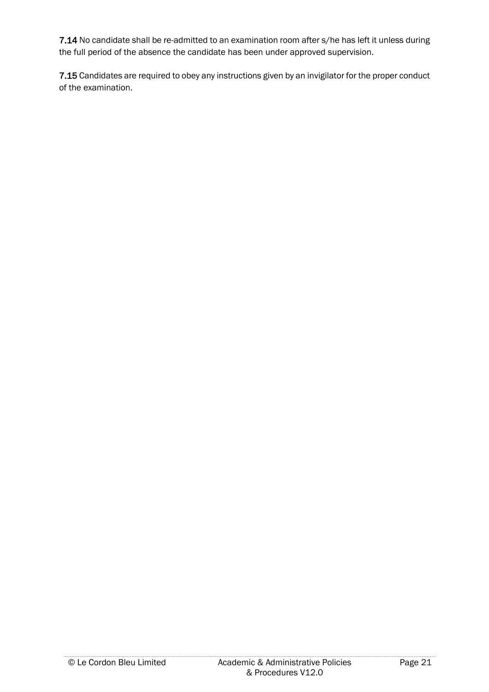7.14 No candidate shall be re-admitted to an examination room after s/he has left it unless during the full period of the absence the candidate has been under approved supervision.

7.15 Candidates are required to obey any instructions given by an invigilator for the proper conduct of the examination.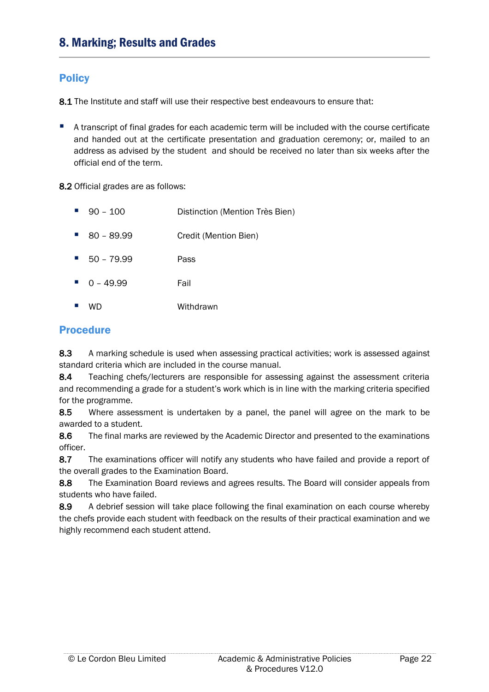## <span id="page-21-0"></span>8. Marking; Results and Grades

#### <span id="page-21-1"></span>**Policy**

8.1 The Institute and staff will use their respective best endeavours to ensure that:

A transcript of final grades for each academic term will be included with the course certificate and handed out at the certificate presentation and graduation ceremony; or, mailed to an address as advised by the student and should be received no later than six weeks after the official end of the term.

8.2 Official grades are as follows:

- 90 100 Distinction (Mention Très Bien)
- 80 89.99 Credit (Mention Bien)
- 50 79.99 Pass
- 0 49.99 Fail
- WD Withdrawn

#### <span id="page-21-2"></span>**Procedure**

8.3 A marking schedule is used when assessing practical activities; work is assessed against standard criteria which are included in the course manual.

8.4 Teaching chefs/lecturers are responsible for assessing against the assessment criteria and recommending a grade for a student's work which is in line with the marking criteria specified for the programme.

8.5 Where assessment is undertaken by a panel, the panel will agree on the mark to be awarded to a student.

8.6 The final marks are reviewed by the Academic Director and presented to the examinations officer.

8.7 The examinations officer will notify any students who have failed and provide a report of the overall grades to the Examination Board.

8.8 The Examination Board reviews and agrees results. The Board will consider appeals from students who have failed.

8.9 A debrief session will take place following the final examination on each course whereby the chefs provide each student with feedback on the results of their practical examination and we highly recommend each student attend.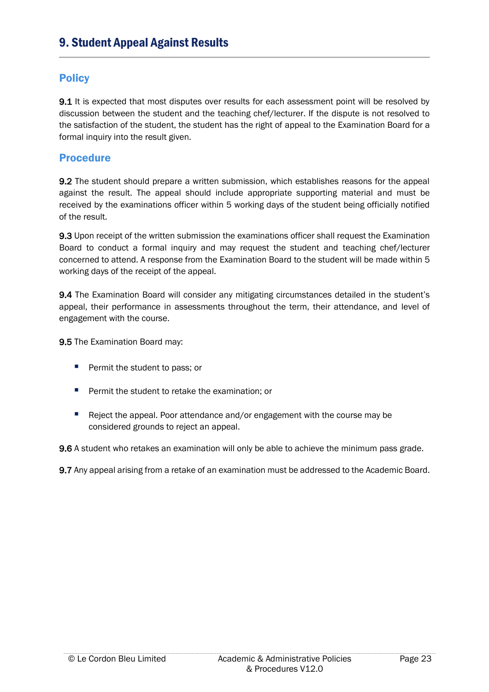## <span id="page-22-0"></span>9. Student Appeal Against Results

#### <span id="page-22-1"></span>**Policy**

9.1 It is expected that most disputes over results for each assessment point will be resolved by discussion between the student and the teaching chef/lecturer. If the dispute is not resolved to the satisfaction of the student, the student has the right of appeal to the Examination Board for a formal inquiry into the result given.

#### <span id="page-22-2"></span>Procedure

9.2 The student should prepare a written submission, which establishes reasons for the appeal against the result. The appeal should include appropriate supporting material and must be received by the examinations officer within 5 working days of the student being officially notified of the result.

9.3 Upon receipt of the written submission the examinations officer shall request the Examination Board to conduct a formal inquiry and may request the student and teaching chef/lecturer concerned to attend. A response from the Examination Board to the student will be made within 5 working days of the receipt of the appeal.

9.4 The Examination Board will consider any mitigating circumstances detailed in the student's appeal, their performance in assessments throughout the term, their attendance, and level of engagement with the course.

9.5 The Examination Board may:

- Permit the student to pass; or
- Permit the student to retake the examination; or
- Reject the appeal. Poor attendance and/or engagement with the course may be considered grounds to reject an appeal.

9.6 A student who retakes an examination will only be able to achieve the minimum pass grade.

9.7 Any appeal arising from a retake of an examination must be addressed to the Academic Board.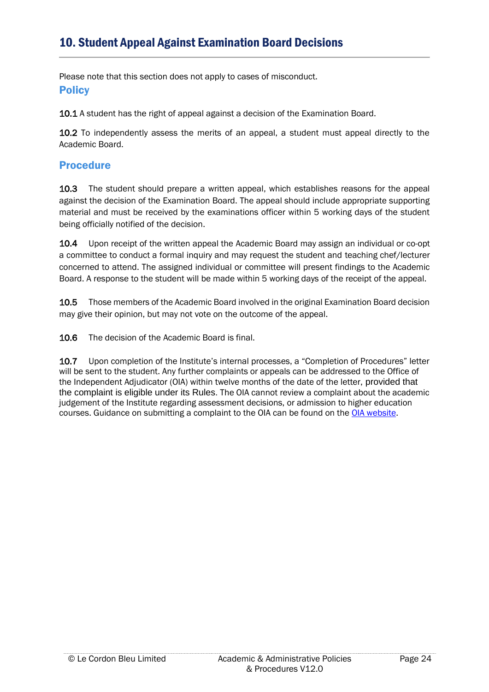## <span id="page-23-0"></span>10. Student Appeal Against Examination Board Decisions

<span id="page-23-1"></span>Please note that this section does not apply to cases of misconduct. **Policy** 

10.1 A student has the right of appeal against a decision of the Examination Board.

10.2 To independently assess the merits of an appeal, a student must appeal directly to the Academic Board.

#### <span id="page-23-2"></span>Procedure

10.3 The student should prepare a written appeal, which establishes reasons for the appeal against the decision of the Examination Board. The appeal should include appropriate supporting material and must be received by the examinations officer within 5 working days of the student being officially notified of the decision.

10.4 Upon receipt of the written appeal the Academic Board may assign an individual or co-opt a committee to conduct a formal inquiry and may request the student and teaching chef/lecturer concerned to attend. The assigned individual or committee will present findings to the Academic Board. A response to the student will be made within 5 working days of the receipt of the appeal.

10.5 Those members of the Academic Board involved in the original Examination Board decision may give their opinion, but may not vote on the outcome of the appeal.

10.6 The decision of the Academic Board is final.

10.7 Upon completion of the Institute's internal processes, a "Completion of Procedures" letter will be sent to the student. Any further complaints or appeals can be addressed to the Office of the Independent Adjudicator (OIA) within twelve months of the date of the letter, provided that the complaint is eligible under its Rules. The OIA cannot review a complaint about the academic judgement of the Institute regarding assessment decisions, or admission to higher education courses. Guidance on submitting a complaint to the OIA can be found on the [OIA website.](http://www.oiahe.org.uk/making-a-complaint-to-the-oia/oia-complaint-form.aspx)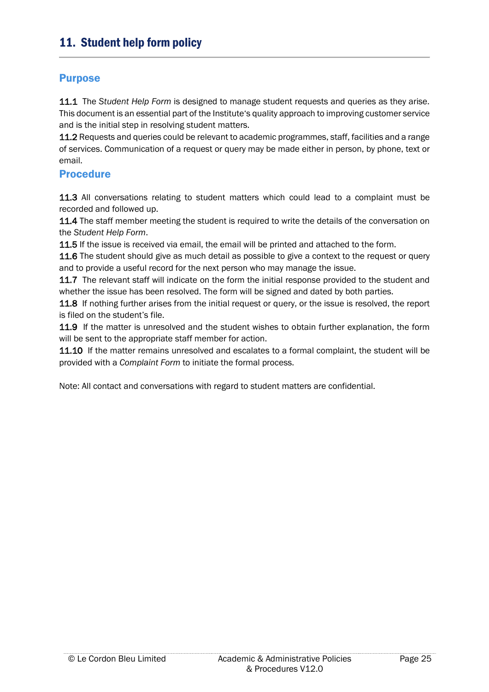## <span id="page-24-0"></span>11. Student help form policy

#### <span id="page-24-1"></span>Purpose

11.1 The Student Help Form is designed to manage student requests and queries as they arise. This document is an essential part of the Institute's quality approach to improving customer service and is the initial step in resolving student matters.

11.2 Requests and queries could be relevant to academic programmes, staff, facilities and a range of services. Communication of a request or query may be made either in person, by phone, text or email.

#### <span id="page-24-2"></span>Procedure

11.3 All conversations relating to student matters which could lead to a complaint must be recorded and followed up.

11.4 The staff member meeting the student is required to write the details of the conversation on the *Student Help Form*.

11.5 If the issue is received via email, the email will be printed and attached to the form.

11.6 The student should give as much detail as possible to give a context to the request or query and to provide a useful record for the next person who may manage the issue.

11.7 The relevant staff will indicate on the form the initial response provided to the student and whether the issue has been resolved. The form will be signed and dated by both parties.

11.8 If nothing further arises from the initial request or query, or the issue is resolved, the report is filed on the student's file.

11.9 If the matter is unresolved and the student wishes to obtain further explanation, the form will be sent to the appropriate staff member for action.

11.10 If the matter remains unresolved and escalates to a formal complaint, the student will be provided with a *Complaint Form* to initiate the formal process.

Note: All contact and conversations with regard to student matters are confidential.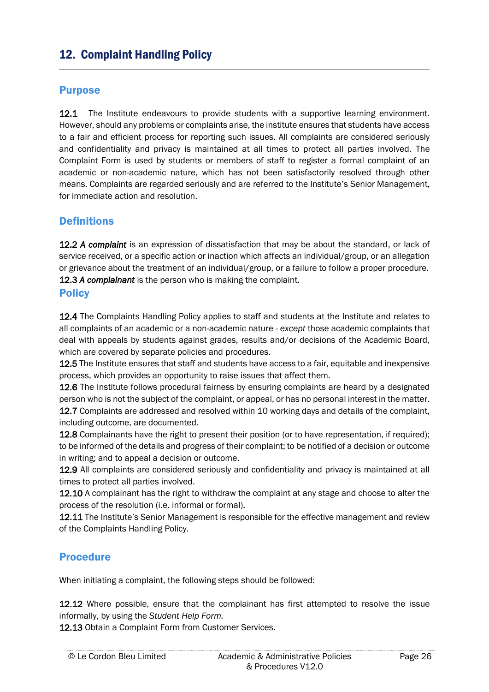## <span id="page-25-0"></span>12. Complaint Handling Policy

#### <span id="page-25-1"></span>**Purpose**

12.1 The Institute endeavours to provide students with a supportive learning environment. However, should any problems or complaints arise, the institute ensures that students have access to a fair and efficient process for reporting such issues. All complaints are considered seriously and confidentiality and privacy is maintained at all times to protect all parties involved. The Complaint Form is used by students or members of staff to register a formal complaint of an academic or non-academic nature, which has not been satisfactorily resolved through other means. Complaints are regarded seriously and are referred to the Institute's Senior Management, for immediate action and resolution.

#### <span id="page-25-2"></span>**Definitions**

12.2 *A complaint* is an expression of dissatisfaction that may be about the standard, or lack of service received, or a specific action or inaction which affects an individual/group, or an allegation or grievance about the treatment of an individual/group, or a failure to follow a proper procedure. 12.3 *A complainant* is the person who is making the complaint.

#### <span id="page-25-3"></span>**Policy**

12.4 The Complaints Handling Policy applies to staff and students at the Institute and relates to all complaints of an academic or a non-academic nature - *except* those academic complaints that deal with appeals by students against grades, results and/or decisions of the Academic Board, which are covered by separate policies and procedures.

12.5 The Institute ensures that staff and students have access to a fair, equitable and inexpensive process, which provides an opportunity to raise issues that affect them.

12.6 The Institute follows procedural fairness by ensuring complaints are heard by a designated person who is not the subject of the complaint, or appeal, or has no personal interest in the matter. 12.7 Complaints are addressed and resolved within 10 working days and details of the complaint, including outcome, are documented.

12.8 Complainants have the right to present their position (or to have representation, if required); to be informed of the details and progress of their complaint; to be notified of a decision or outcome in writing; and to appeal a decision or outcome.

12.9 All complaints are considered seriously and confidentiality and privacy is maintained at all times to protect all parties involved.

12.10 A complainant has the right to withdraw the complaint at any stage and choose to alter the process of the resolution (i.e. informal or formal).

12.11 The Institute's Senior Management is responsible for the effective management and review of the Complaints Handling Policy.

#### <span id="page-25-4"></span>**Procedure**

When initiating a complaint, the following steps should be followed:

12.12 Where possible, ensure that the complainant has first attempted to resolve the issue informally, by using the *Student Help Form.*

12.13 Obtain a Complaint Form from Customer Services.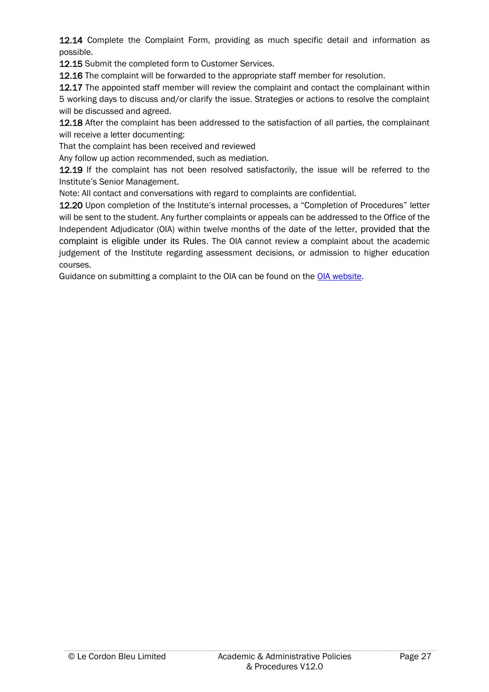12.14 Complete the Complaint Form, providing as much specific detail and information as possible.

12.15 Submit the completed form to Customer Services.

12.16 The complaint will be forwarded to the appropriate staff member for resolution.

12.17 The appointed staff member will review the complaint and contact the complainant within 5 working days to discuss and/or clarify the issue. Strategies or actions to resolve the complaint will be discussed and agreed.

12.18 After the complaint has been addressed to the satisfaction of all parties, the complainant will receive a letter documenting:

That the complaint has been received and reviewed

Any follow up action recommended, such as mediation.

12.19 If the complaint has not been resolved satisfactorily, the issue will be referred to the Institute's Senior Management.

Note: All contact and conversations with regard to complaints are confidential.

12.20 Upon completion of the Institute's internal processes, a "Completion of Procedures" letter will be sent to the student. Any further complaints or appeals can be addressed to the Office of the Independent Adjudicator (OIA) within twelve months of the date of the letter, provided that the complaint is eligible under its Rules. The OIA cannot review a complaint about the academic judgement of the Institute regarding assessment decisions, or admission to higher education courses.

Guidance on submitting a complaint to the OIA can be found on the [OIA website.](http://www.oiahe.org.uk/making-a-complaint-to-the-oia/oia-complaint-form.aspx)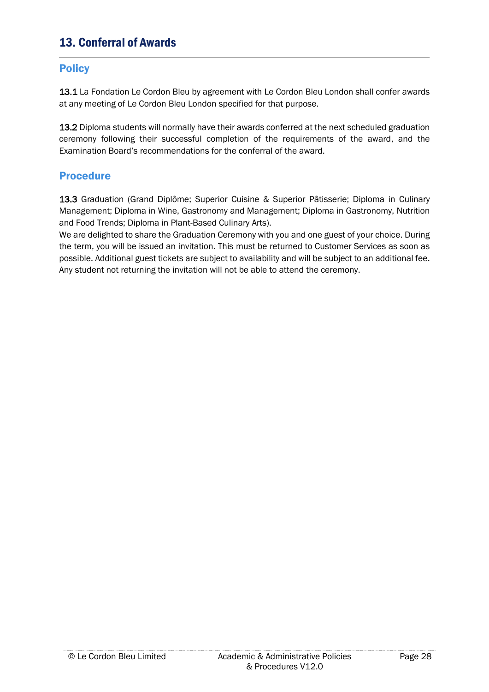## <span id="page-27-0"></span>13. Conferral of Awards

#### <span id="page-27-1"></span>**Policy**

13.1 La Fondation Le Cordon Bleu by agreement with Le Cordon Bleu London shall confer awards at any meeting of Le Cordon Bleu London specified for that purpose.

13.2 Diploma students will normally have their awards conferred at the next scheduled graduation ceremony following their successful completion of the requirements of the award, and the Examination Board's recommendations for the conferral of the award.

#### <span id="page-27-2"></span>Procedure

13.3 Graduation (Grand Diplôme; Superior Cuisine & Superior Pâtisserie; Diploma in Culinary Management; Diploma in Wine, Gastronomy and Management; Diploma in Gastronomy, Nutrition and Food Trends; Diploma in Plant-Based Culinary Arts).

We are delighted to share the Graduation Ceremony with you and one guest of your choice. During the term, you will be issued an invitation. This must be returned to Customer Services as soon as possible. Additional guest tickets are subject to availability and will be subject to an additional fee. Any student not returning the invitation will not be able to attend the ceremony.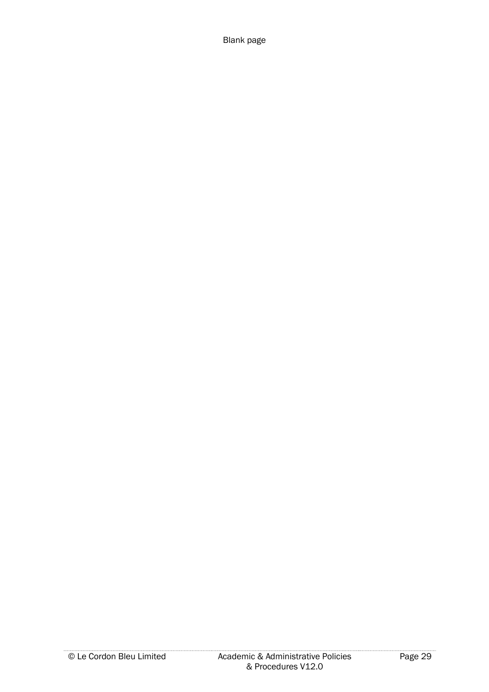Blank page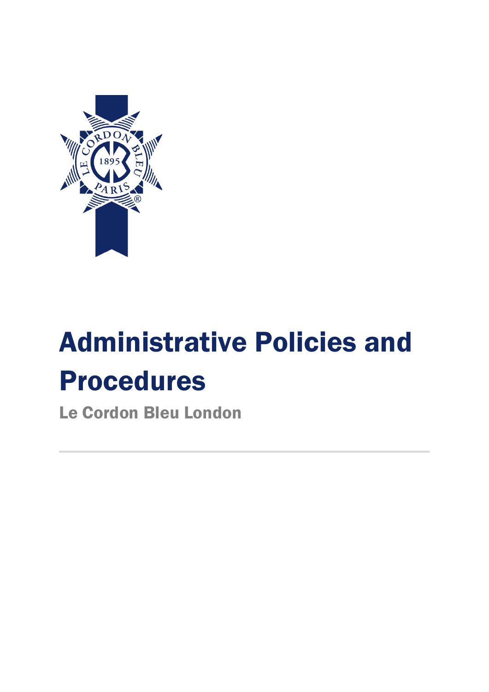

## <span id="page-29-0"></span>Administrative Policies and Procedures

Le Cordon Bleu London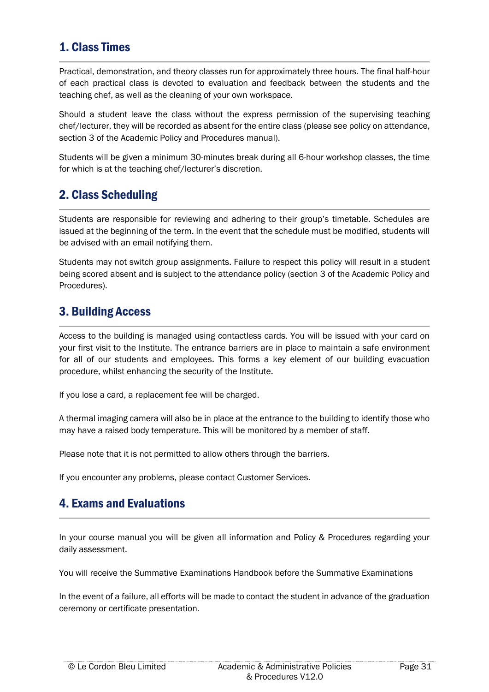## <span id="page-30-0"></span>1. Class Times

Practical, demonstration, and theory classes run for approximately three hours. The final half-hour of each practical class is devoted to evaluation and feedback between the students and the teaching chef, as well as the cleaning of your own workspace.

Should a student leave the class without the express permission of the supervising teaching chef/lecturer, they will be recorded as absent for the entire class (please see policy on attendance, section 3 of the Academic Policy and Procedures manual).

Students will be given a minimum 30-minutes break during all 6-hour workshop classes, the time for which is at the teaching chef/lecturer's discretion.

## <span id="page-30-1"></span>2. Class Scheduling

Students are responsible for reviewing and adhering to their group's timetable. Schedules are issued at the beginning of the term. In the event that the schedule must be modified, students will be advised with an email notifying them.

Students may not switch group assignments. Failure to respect this policy will result in a student being scored absent and is subject to the attendance policy (section 3 of the Academic Policy and Procedures).

## <span id="page-30-2"></span>3. Building Access

Access to the building is managed using contactless cards. You will be issued with your card on your first visit to the Institute. The entrance barriers are in place to maintain a safe environment for all of our students and employees. This forms a key element of our building evacuation procedure, whilst enhancing the security of the Institute.

If you lose a card, a replacement fee will be charged.

A thermal imaging camera will also be in place at the entrance to the building to identify those who may have a raised body temperature. This will be monitored by a member of staff.

Please note that it is not permitted to allow others through the barriers.

If you encounter any problems, please contact Customer Services.

## <span id="page-30-3"></span>4. Exams and Evaluations

In your course manual you will be given all information and Policy & Procedures regarding your daily assessment.

You will receive the Summative Examinations Handbook before the Summative Examinations

In the event of a failure, all efforts will be made to contact the student in advance of the graduation ceremony or certificate presentation.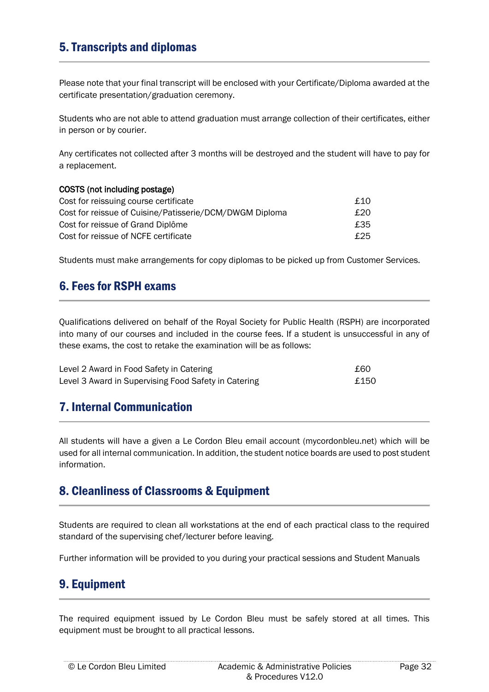## <span id="page-31-0"></span>5. Transcripts and diplomas

Please note that your final transcript will be enclosed with your Certificate/Diploma awarded at the certificate presentation/graduation ceremony.

Students who are not able to attend graduation must arrange collection of their certificates, either in person or by courier.

Any certificates not collected after 3 months will be destroyed and the student will have to pay for a replacement.

| COSTS (not including postage)                           |      |
|---------------------------------------------------------|------|
| Cost for reissuing course certificate                   | f.10 |
| Cost for reissue of Cuisine/Patisserie/DCM/DWGM Diploma | £20  |
| Cost for reissue of Grand Diplôme                       | £35  |
| Cost for reissue of NCFE certificate                    | £25  |

Students must make arrangements for copy diplomas to be picked up from Customer Services.

## <span id="page-31-1"></span>6. Fees for RSPH exams

Qualifications delivered on behalf of the Royal Society for Public Health (RSPH) are incorporated into many of our courses and included in the course fees. If a student is unsuccessful in any of these exams, the cost to retake the examination will be as follows:

| Level 2 Award in Food Safety in Catering             | £60  |
|------------------------------------------------------|------|
| Level 3 Award in Supervising Food Safety in Catering | £150 |

## <span id="page-31-2"></span>7. Internal Communication

All students will have a given a Le Cordon Bleu email account (mycordonbleu.net) which will be used for all internal communication. In addition, the student notice boards are used to post student information.

## <span id="page-31-3"></span>8. Cleanliness of Classrooms & Equipment

Students are required to clean all workstations at the end of each practical class to the required standard of the supervising chef/lecturer before leaving.

Further information will be provided to you during your practical sessions and Student Manuals

## <span id="page-31-4"></span>9. Equipment

The required equipment issued by Le Cordon Bleu must be safely stored at all times. This equipment must be brought to all practical lessons.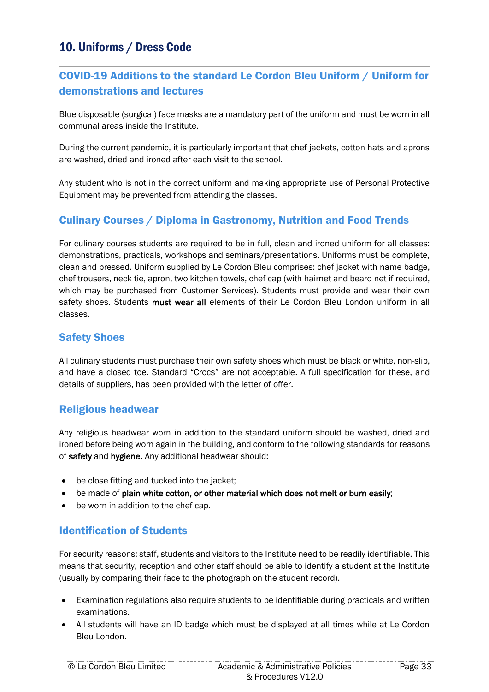## <span id="page-32-0"></span>10. Uniforms / Dress Code

## <span id="page-32-2"></span><span id="page-32-1"></span>COVID-19 Additions to the standard Le Cordon Bleu Uniform / Uniform for demonstrations and lectures

Blue disposable (surgical) face masks are a mandatory part of the uniform and must be worn in all communal areas inside the Institute.

During the current pandemic, it is particularly important that chef jackets, cotton hats and aprons are washed, dried and ironed after each visit to the school.

Any student who is not in the correct uniform and making appropriate use of Personal Protective Equipment may be prevented from attending the classes.

#### <span id="page-32-3"></span>Culinary Courses / Diploma in Gastronomy, Nutrition and Food Trends

For culinary courses students are required to be in full, clean and ironed uniform for all classes: demonstrations, practicals, workshops and seminars/presentations. Uniforms must be complete, clean and pressed. Uniform supplied by Le Cordon Bleu comprises: chef jacket with name badge, chef trousers, neck tie, apron, two kitchen towels, chef cap (with hairnet and beard net if required, which may be purchased from Customer Services). Students must provide and wear their own safety shoes. Students must wear all elements of their Le Cordon Bleu London uniform in all classes.

#### <span id="page-32-4"></span>Safety Shoes

All culinary students must purchase their own safety shoes which must be black or white, non-slip, and have a closed toe. Standard "Crocs" are not acceptable. A full specification for these, and details of suppliers, has been provided with the letter of offer.

#### <span id="page-32-5"></span>Religious headwear

Any religious headwear worn in addition to the standard uniform should be washed, dried and ironed before being worn again in the building, and conform to the following standards for reasons of safety and hygiene. Any additional headwear should:

- be close fitting and tucked into the jacket;
- be made of plain white cotton, or other material which does not melt or burn easily;
- be worn in addition to the chef cap.

#### <span id="page-32-6"></span>Identification of Students

For security reasons; staff, students and visitors to the Institute need to be readily identifiable. This means that security, reception and other staff should be able to identify a student at the Institute (usually by comparing their face to the photograph on the student record).

- Examination regulations also require students to be identifiable during practicals and written examinations.
- All students will have an ID badge which must be displayed at all times while at Le Cordon Bleu London.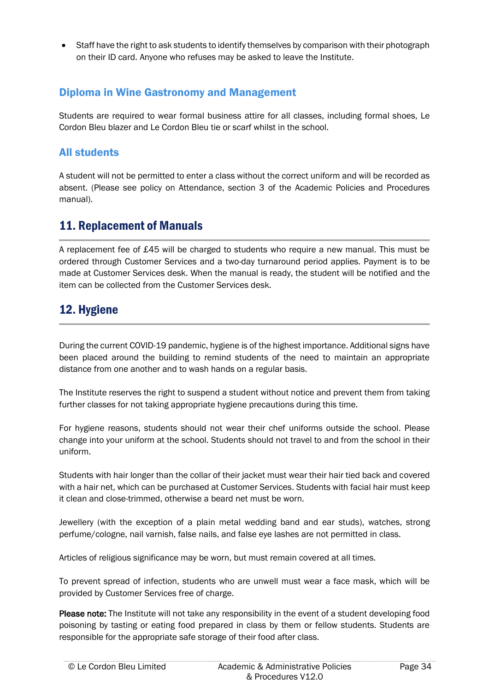• Staff have the right to ask students to identify themselves by comparison with their photograph on their ID card. Anyone who refuses may be asked to leave the Institute.

#### <span id="page-33-0"></span>Diploma in Wine Gastronomy and Management

Students are required to wear formal business attire for all classes, including formal shoes, Le Cordon Bleu blazer and Le Cordon Bleu tie or scarf whilst in the school.

#### <span id="page-33-1"></span>All students

A student will not be permitted to enter a class without the correct uniform and will be recorded as absent. (Please see policy on Attendance, section 3 of the Academic Policies and Procedures manual).

## <span id="page-33-2"></span>11. Replacement of Manuals

A replacement fee of £45 will be charged to students who require a new manual. This must be ordered through Customer Services and a two-day turnaround period applies. Payment is to be made at Customer Services desk. When the manual is ready, the student will be notified and the item can be collected from the Customer Services desk.

## <span id="page-33-3"></span>12. Hygiene

During the current COVID-19 pandemic, hygiene is of the highest importance. Additional signs have been placed around the building to remind students of the need to maintain an appropriate distance from one another and to wash hands on a regular basis.

The Institute reserves the right to suspend a student without notice and prevent them from taking further classes for not taking appropriate hygiene precautions during this time.

For hygiene reasons, students should not wear their chef uniforms outside the school. Please change into your uniform at the school. Students should not travel to and from the school in their uniform.

Students with hair longer than the collar of their jacket must wear their hair tied back and covered with a hair net, which can be purchased at Customer Services. Students with facial hair must keep it clean and close-trimmed, otherwise a beard net must be worn.

Jewellery (with the exception of a plain metal wedding band and ear studs), watches, strong perfume/cologne, nail varnish, false nails, and false eye lashes are not permitted in class.

Articles of religious significance may be worn, but must remain covered at all times.

To prevent spread of infection, students who are unwell must wear a face mask, which will be provided by Customer Services free of charge.

Please note: The Institute will not take any responsibility in the event of a student developing food poisoning by tasting or eating food prepared in class by them or fellow students. Students are responsible for the appropriate safe storage of their food after class.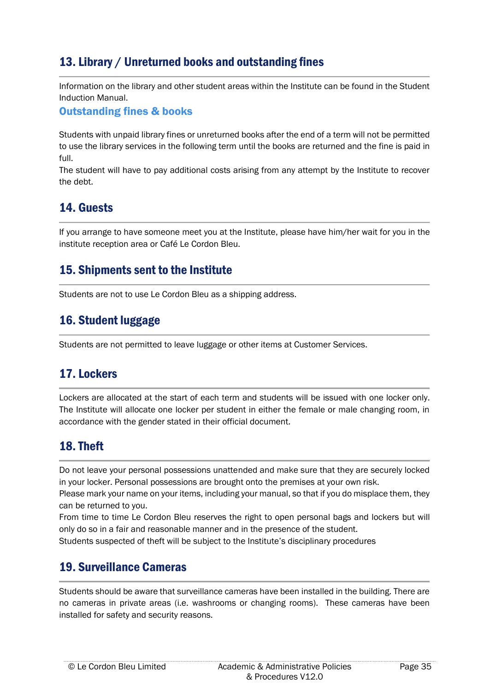## <span id="page-34-0"></span>13. Library / Unreturned books and outstanding fines

Information on the library and other student areas within the Institute can be found in the Student Induction Manual.

#### <span id="page-34-1"></span>Outstanding fines & books

Students with unpaid library fines or unreturned books after the end of a term will not be permitted to use the library services in the following term until the books are returned and the fine is paid in full.

The student will have to pay additional costs arising from any attempt by the Institute to recover the debt.

## <span id="page-34-2"></span>14. Guests

If you arrange to have someone meet you at the Institute, please have him/her wait for you in the institute reception area or Café Le Cordon Bleu.

## <span id="page-34-3"></span>15. Shipments sent to the Institute

Students are not to use Le Cordon Bleu as a shipping address.

## <span id="page-34-4"></span>16. Student luggage

Students are not permitted to leave luggage or other items at Customer Services.

## <span id="page-34-5"></span>17. Lockers

Lockers are allocated at the start of each term and students will be issued with one locker only. The Institute will allocate one locker per student in either the female or male changing room, in accordance with the gender stated in their official document.

## <span id="page-34-6"></span>18. Theft

Do not leave your personal possessions unattended and make sure that they are securely locked in your locker. Personal possessions are brought onto the premises at your own risk.

Please mark your name on your items, including your manual, so that if you do misplace them, they can be returned to you.

From time to time Le Cordon Bleu reserves the right to open personal bags and lockers but will only do so in a fair and reasonable manner and in the presence of the student.

Students suspected of theft will be subject to the Institute's disciplinary procedures

## <span id="page-34-7"></span>19. Surveillance Cameras

<span id="page-34-8"></span>Students should be aware that surveillance cameras have been installed in the building. There are no cameras in private areas (i.e. washrooms or changing rooms). These cameras have been installed for safety and security reasons.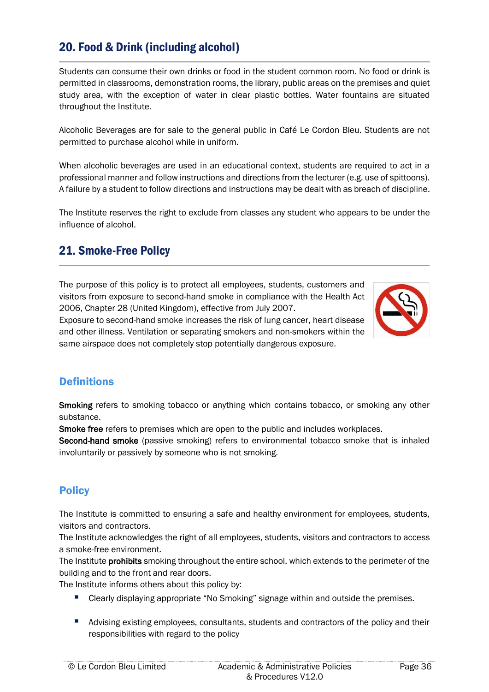## 20. Food & Drink (including alcohol)

Students can consume their own drinks or food in the student common room. No food or drink is permitted in classrooms, demonstration rooms, the library, public areas on the premises and quiet study area, with the exception of water in clear plastic bottles. Water fountains are situated throughout the Institute.

Alcoholic Beverages are for sale to the general public in Café Le Cordon Bleu. Students are not permitted to purchase alcohol while in uniform.

When alcoholic beverages are used in an educational context, students are required to act in a professional manner and follow instructions and directions from the lecturer (e.g. use of spittoons). A failure by a student to follow directions and instructions may be dealt with as breach of discipline.

The Institute reserves the right to exclude from classes any student who appears to be under the influence of alcohol.

## <span id="page-35-0"></span>21. Smoke-Free Policy

The purpose of this policy is to protect all employees, students, customers and visitors from exposure to second-hand smoke in compliance with the Health Act 2006, Chapter 28 (United Kingdom), effective from July 2007.

Exposure to second-hand smoke increases the risk of lung cancer, heart disease and other illness. Ventilation or separating smokers and non-smokers within the same airspace does not completely stop potentially dangerous exposure.



## <span id="page-35-1"></span>**Definitions**

Smoking refers to smoking tobacco or anything which contains tobacco, or smoking any other substance.

Smoke free refers to premises which are open to the public and includes workplaces.

Second-hand smoke (passive smoking) refers to environmental tobacco smoke that is inhaled involuntarily or passively by someone who is not smoking.

#### <span id="page-35-2"></span>**Policy**

The Institute is committed to ensuring a safe and healthy environment for employees, students, visitors and contractors.

The Institute acknowledges the right of all employees, students, visitors and contractors to access a smoke-free environment.

The Institute **prohibits** smoking throughout the entire school, which extends to the perimeter of the building and to the front and rear doors.

The Institute informs others about this policy by:

- Clearly displaying appropriate "No Smoking" signage within and outside the premises.
- Advising existing employees, consultants, students and contractors of the policy and their responsibilities with regard to the policy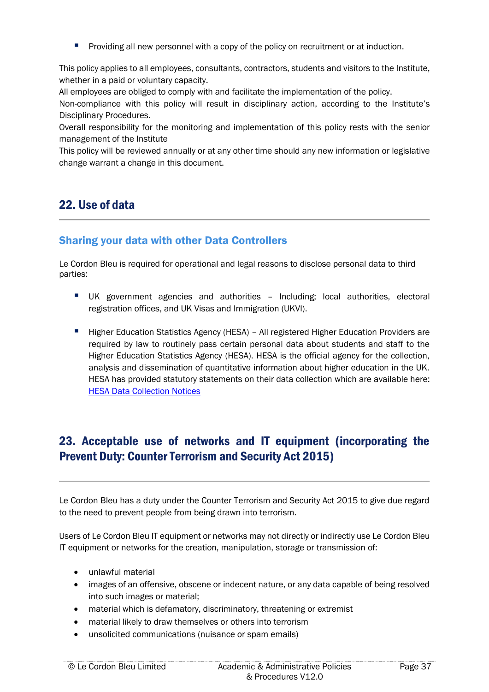**•** Providing all new personnel with a copy of the policy on recruitment or at induction.

This policy applies to all employees, consultants, contractors, students and visitors to the Institute, whether in a paid or voluntary capacity.

All employees are obliged to comply with and facilitate the implementation of the policy.

Non-compliance with this policy will result in disciplinary action, according to the Institute's Disciplinary Procedures.

Overall responsibility for the monitoring and implementation of this policy rests with the senior management of the Institute

This policy will be reviewed annually or at any other time should any new information or legislative change warrant a change in this document.

## <span id="page-36-0"></span>22. Use of data

#### <span id="page-36-1"></span>Sharing your data with other Data Controllers

Le Cordon Bleu is required for operational and legal reasons to disclose personal data to third parties:

- UK government agencies and authorities Including; local authorities, electoral registration offices, and UK Visas and Immigration (UKVI).
- Higher Education Statistics Agency (HESA) All registered Higher Education Providers are required by law to routinely pass certain personal data about students and staff to the Higher Education Statistics Agency (HESA). HESA is the official agency for the collection, analysis and dissemination of quantitative information about higher education in the UK. HESA has provided statutory statements on their data collection which are available here: [HESA Data Collection Notices](https://www.hesa.ac.uk/about/regulation/data-protection/notices)

## <span id="page-36-2"></span>23. Acceptable use of networks and IT equipment (incorporating the Prevent Duty: Counter Terrorism and Security Act 2015)

Le Cordon Bleu has a duty under the Counter Terrorism and Security Act 2015 to give due regard to the need to prevent people from being drawn into terrorism.

Users of Le Cordon Bleu IT equipment or networks may not directly or indirectly use Le Cordon Bleu IT equipment or networks for the creation, manipulation, storage or transmission of:

- unlawful material
- images of an offensive, obscene or indecent nature, or any data capable of being resolved into such images or material;
- material which is defamatory, discriminatory, threatening or extremist
- material likely to draw themselves or others into terrorism
- unsolicited communications (nuisance or spam emails)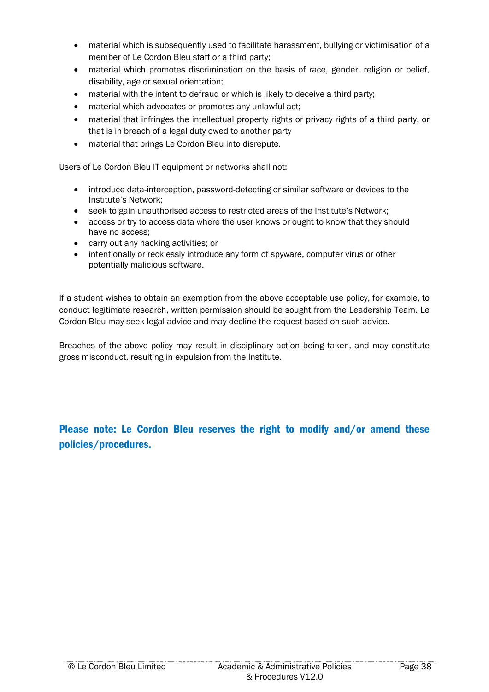- material which is subsequently used to facilitate harassment, bullying or victimisation of a member of Le Cordon Bleu staff or a third party;
- material which promotes discrimination on the basis of race, gender, religion or belief, disability, age or sexual orientation;
- material with the intent to defraud or which is likely to deceive a third party;
- material which advocates or promotes any unlawful act;
- material that infringes the intellectual property rights or privacy rights of a third party, or that is in breach of a legal duty owed to another party
- material that brings Le Cordon Bleu into disrepute.

Users of Le Cordon Bleu IT equipment or networks shall not:

- introduce data-interception, password-detecting or similar software or devices to the Institute's Network;
- seek to gain unauthorised access to restricted areas of the Institute's Network;
- access or try to access data where the user knows or ought to know that they should have no access;
- carry out any hacking activities; or
- intentionally or recklessly introduce any form of spyware, computer virus or other potentially malicious software.

If a student wishes to obtain an exemption from the above acceptable use policy, for example, to conduct legitimate research, written permission should be sought from the Leadership Team. Le Cordon Bleu may seek legal advice and may decline the request based on such advice.

Breaches of the above policy may result in disciplinary action being taken, and may constitute gross misconduct, resulting in expulsion from the Institute.

Please note: Le Cordon Bleu reserves the right to modify and/or amend these policies/procedures.